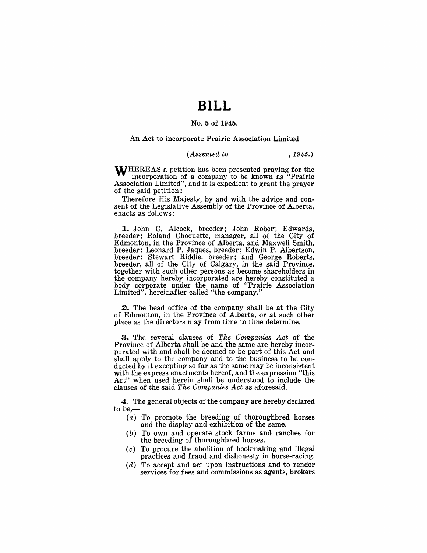## **BILL**

#### No. 5 of 1945.

An Act to incorporate Prairie Association Limited

#### *(Assented to* , 1945.)

WHEREAS a petition has been presented praying for the incorporation of a company to be known as "Prairie Association Limited", and it is expedient to grant the prayer of the said petition:

Therefore His Majesty, by and with the advice and consent of the Legislative Assembly of the Province of Alberta, enacts as follows:

**1.** John C. Alcock, breeder; John Robert Edwards, breeder; Roland Choquette, manager, all of the City of Edmonton, in the Province of Alberta, and Maxwell Smith, breeder; Leonard P. Jaques, breeder; Edwin P. Albertson, breeder; stewart Riddle, breeder; and George Roberts, breeder, all of the City of Calgary, in the said Province, together with such other persons as become shareholders in the company hereby incorporated are hereby constituted a body corporate under the name of "Prairie Association Limited", herejnafter called "the company."

**2.** The head office of the company shall be at the City of Edmonton, in the Province of Alberta, or at such other place as the directors may from time to time determine.

**3.** The several clauses of *The Companies Act* of the Province of Alberta shall be and the same are hereby incorporated with and shall be deemed to be part of this Act and shall apply to the company and to the business to be conducted by it excepting so far as the same may be inconsistent with the express enactments hereof, and the expression "this Act" when used herein shall be understood to include the clauses of the said *The Companies Aetas* aforesaid.

4. The general objects of the company are hereby declared to be,-

- (a) To promote the breeding of thoroughbred horses and the display and exhibition of the same.
- $(b)$  To own and operate stock farms and ranches for the breeding of thoroughbred horses.
- $(c)$  To procure the abolition of bookmaking and illegal practices and fraud and dishonesty in horse-racing.
- (d) To accept and act upon instructions and to render services for fees and commissions as agents, brokers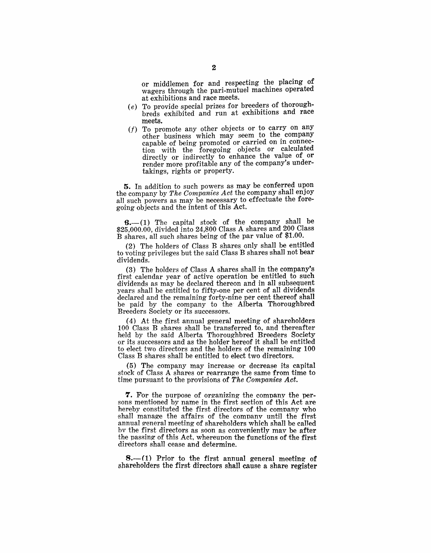or middlemen for and respecting the placing of wagers through the pari-mutuel machines operated at exhibitions and race meets.

- (e) To provide special prizes for breeders of thoroughbreds exhibited and run at exhibitions and race meets.
- $(f)$  To promote any other objects or to carry on any other business which may seem to the company capable of being promoted or carried on in connection with the foregoing objects or calculated directly or indirectly to enhance the value of or render more profitable any of the company's undertakings, rights or property.

5. In addition to such powers as may be conferred upon the company by *The Companies Act* the company shall enjoy all such powers as may be necessary to effectuate the foregoing objects and the intent of this Act.

 $6-(1)$  The capital stock of the company shall be \$25,000.00, divided into 24,800 Class A shares and  $200$  Class B shares, all such shares being of the par value of \$1.00.

(2) The holders of Class B shares only shall be entitled to voting privileges but the said Class B shares shall not bear dividends.

(3) The holders of Class A shares shall in the company's first calendar year of active operation be entitled to such dividends as may be declared thereon and in all subsequent years shall be entitled to fifty-one per cent of all dividends declared and the remaining forty-nine per cent thereof shall be paid by the company to the Alberta Thoroughbred Breeders Society or its successors.

(4) At the first annual general meeting of shareholders 100 Class B shares shall be transferred to, and thereafter held by the said Alberta Thoroughbred Breeders Society or its successors and as the holder hereof it shall be entitled to elect two directors and the holders of the remaining 100 Class B shares shall be entitled to elect two directors.

(5) The company may increase or decrease its capital stock of Class A shares or rearrange the same from time to time pursuant to the provisions of *The Companies Act.* 

**7.** For the purpose of organizing the company the persons mentioned by name in the first section of this Act are hereby constituted the first directors of the company who shall manage the affairs of the company until the first annual general meeting of shareholders which shall be called bv the first directors as soon as conveniently may be after the passing of this Act, whereupon the functions of the first directors shall cease and determine.

**8.**—(1) Prior to the first annual general meeting of shareholders the first directors shall cause a share register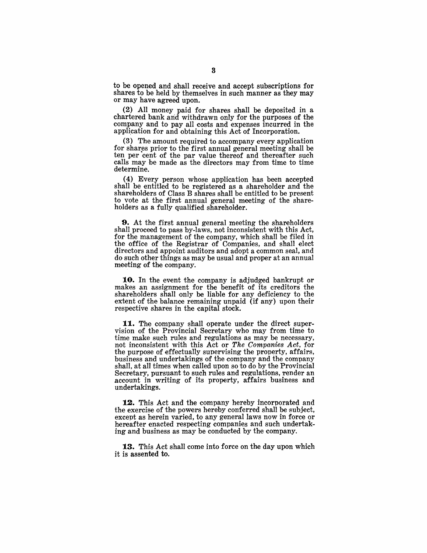to be opened and shall receive and accept subscriptions for shares to be held by themselves in such manner as they may or may have agreed upon.

(2) All money paid for shares shall be deposited in a chartered bank and withdrawn only for the purposes of the company and to pay all costs and expenses incurred in the application for and obtaining this Act of Incorporation.

 $(3)$  The amount required to accompany every application for shares prior to the first annual general meeting shall be ten per cent of the par value thereof and thereafter such calls may be made as the directors may from time to time determine.

(4) Every person whose application has been accepted shall be entitled to be registered as a shareholder and the shareholders of Class B shares shall be entitled to be present to vote at the first annual general meeting of the shareholders as a fully qualified shareholder.

**9.** At the first annual general meeting the shareholders shall proceed to pass by-laws, not inconsistent with this Act, for the management of the company, which shall be filed in the office of the Registrar of Companies, and shall elect directors and appoint auditors and adopt a common seal, and do. such other things as may be usual and proper at an annual meeting of the company.

10. In the event the company is adjudged bankrupt or makes an assignment for the benefit of its creditors the shareholders shall only be liable for any deficiency to the extent of the balance remaining unpaid (if any) upon their respective shares in the capital stock.

11. The company shall operate under the direct supervision of the Provincial Secretary who may from time to time make such rules and regulations as may be necessary, not inconsistent with this Act or *The Companies Act*, for the purpose of effectually supervising the property, affairs, business and undertakings of the company and the company shall, at all times when called upon so to do by the Provincial Secretary, pursuant to such rules and regulations, render an account in writing of its property, affairs business and undertakings.

12. This Act and the company hereby incorporated and the exercise of the powers hereby conferred shall be subject. except as herein varied, to any general laws now in force or hereafter enacted respecting companies and such undertaking and business as may be conducted by the company.

13. This Act shall come into force on the day upon which it is assented to.